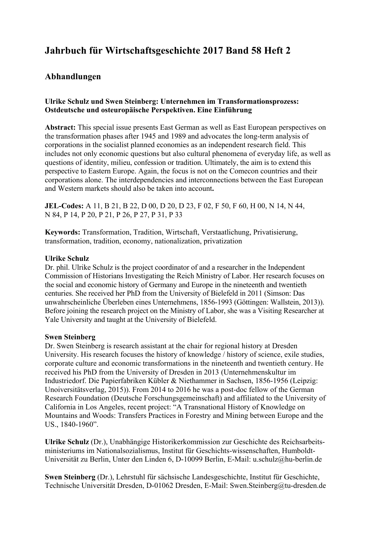# **Jahrbuch für Wirtschaftsgeschichte 2017 Band 58 Heft 2**

## **Abhandlungen**

### **Ulrike Schulz und Swen Steinberg: Unternehmen im Transformationsprozess: Ostdeutsche und osteuropäische Perspektiven. Eine Einführung**

**Abstract:** This special issue presents East German as well as East European perspectives on the transformation phases after 1945 and 1989 and advocates the long-term analysis of corporations in the socialist planned economies as an independent research field. This includes not only economic questions but also cultural phenomena of everyday life, as well as questions of identity, milieu, confession or tradition. Ultimately, the aim is to extend this perspective to Eastern Europe. Again, the focus is not on the Comecon countries and their corporations alone. The interdependencies and interconnections between the East European and Western markets should also be taken into account**.** 

**JEL-Codes:** A 11, B 21, B 22, D 00, D 20, D 23, F 02, F 50, F 60, H 00, N 14, N 44, N 84, P 14, P 20, P 21, P 26, P 27, P 31, P 33

**Keywords:** Transformation, Tradition, Wirtschaft, Verstaatlichung, Privatisierung, transformation, tradition, economy, nationalization, privatization

#### **Ulrike Schulz**

Dr. phil. Ulrike Schulz is the project coordinator of and a researcher in the Independent Commission of Historians Investigating the Reich Ministry of Labor. Her research focuses on the social and economic history of Germany and Europe in the nineteenth and twentieth centuries. She received her PhD from the University of Bielefeld in 2011 (Simson: Das unwahrscheinliche Überleben eines Unternehmens, 1856-1993 (Göttingen: Wallstein, 2013)). Before joining the research project on the Ministry of Labor, she was a Visiting Researcher at Yale University and taught at the University of Bielefeld.

#### **Swen Steinberg**

Dr. Swen Steinberg is research assistant at the chair for regional history at Dresden University. His research focuses the history of knowledge / history of science, exile studies, corporate culture and economic transformations in the nineteenth and twentieth century. He received his PhD from the University of Dresden in 2013 (Unternehmenskultur im Industriedorf. Die Papierfabriken Kübler & Niethammer in Sachsen, 1856-1956 (Leipzig: Unoiversitätsverlag, 2015)). From 2014 to 2016 he was a post-doc fellow of the German Research Foundation (Deutsche Forschungsgemeinschaft) and affiliated to the University of California in Los Angeles, recent project: "A Transnational History of Knowledge on Mountains and Woods: Transfers Practices in Forestry and Mining between Europe and the US., 1840-1960".

**Ulrike Schulz** (Dr.), Unabhängige Historikerkommission zur Geschichte des Reichsarbeitsministeriums im Nationalsozialismus, Institut für Geschichts-wissenschaften, Humboldt-Universität zu Berlin, Unter den Linden 6, D-10099 Berlin, E-Mail: u.schulz@hu-berlin.de

**Swen Steinberg** (Dr.), Lehrstuhl für sächsische Landesgeschichte, Institut für Geschichte, Technische Universität Dresden, D-01062 Dresden, E-Mail: Swen.Steinberg@tu-dresden.de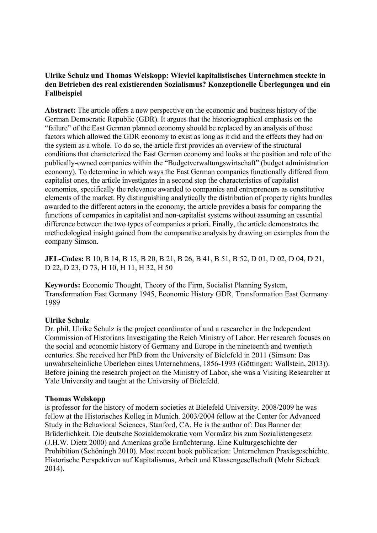#### **Ulrike Schulz und Thomas Welskopp: Wieviel kapitalistisches Unternehmen steckte in den Betrieben des real existierenden Sozialismus? Konzeptionelle Überlegungen und ein Fallbeispiel**

**Abstract:** The article offers a new perspective on the economic and business history of the German Democratic Republic (GDR). It argues that the historiographical emphasis on the "failure" of the East German planned economy should be replaced by an analysis of those factors which allowed the GDR economy to exist as long as it did and the effects they had on the system as a whole. To do so, the article first provides an overview of the structural conditions that characterized the East German economy and looks at the position and role of the publically-owned companies within the "Budgetverwaltungswirtschaft" (budget administration economy). To determine in which ways the East German companies functionally differed from capitalist ones, the article investigates in a second step the characteristics of capitalist economies, specifically the relevance awarded to companies and entrepreneurs as constitutive elements of the market. By distinguishing analytically the distribution of property rights bundles awarded to the different actors in the economy, the article provides a basis for comparing the functions of companies in capitalist and non-capitalist systems without assuming an essential difference between the two types of companies a priori. Finally, the article demonstrates the methodological insight gained from the comparative analysis by drawing on examples from the company Simson.

**JEL-Codes:** B 10, B 14, B 15, B 20, B 21, B 26, B 41, B 51, B 52, D 01, D 02, D 04, D 21, D 22, D 23, D 73, H 10, H 11, H 32, H 50

**Keywords:** Economic Thought, Theory of the Firm, Socialist Planning System, Transformation East Germany 1945, Economic History GDR, Transformation East Germany 1989

#### **Ulrike Schulz**

Dr. phil. Ulrike Schulz is the project coordinator of and a researcher in the Independent Commission of Historians Investigating the Reich Ministry of Labor. Her research focuses on the social and economic history of Germany and Europe in the nineteenth and twentieth centuries. She received her PhD from the University of Bielefeld in 2011 (Simson: Das unwahrscheinliche Überleben eines Unternehmens, 1856-1993 (Göttingen: Wallstein, 2013)). Before joining the research project on the Ministry of Labor, she was a Visiting Researcher at Yale University and taught at the University of Bielefeld.

#### **Thomas Welskopp**

is professor for the history of modern societies at Bielefeld University. 2008/2009 he was fellow at the Historisches Kolleg in Munich. 2003/2004 fellow at the Center for Advanced Study in the Behavioral Sciences, Stanford, CA. He is the author of: Das Banner der Brüderlichkeit. Die deutsche Sozialdemokratie vom Vormärz bis zum Sozialistengesetz (J.H.W. Dietz 2000) and Amerikas große Ernüchterung. Eine Kulturgeschichte der Prohibition (Schöningh 2010). Most recent book publication: Unternehmen Praxisgeschichte. Historische Perspektiven auf Kapitalismus, Arbeit und Klassengesellschaft (Mohr Siebeck 2014).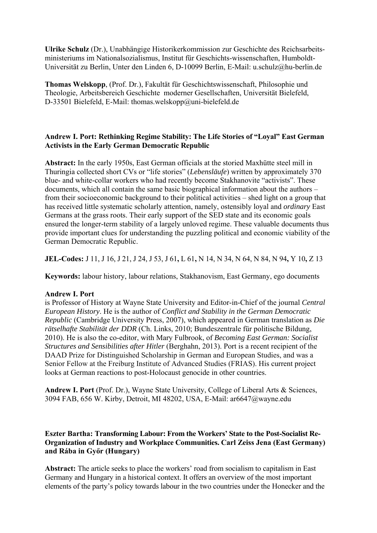**Ulrike Schulz** (Dr.), Unabhängige Historikerkommission zur Geschichte des Reichsarbeitsministeriums im Nationalsozialismus, Institut für Geschichts-wissenschaften, Humboldt-Universität zu Berlin, Unter den Linden 6, D-10099 Berlin, E-Mail: u.schulz@hu-berlin.de

**Thomas Welskopp**, (Prof. Dr.), Fakultät für Geschichtswissenschaft, Philosophie und Theologie, Arbeitsbereich Geschichte moderner Gesellschaften, Universität Bielefeld, D-33501 Bielefeld, E-Mail: thomas.welskopp@uni-bielefeld.de

## **Andrew I. Port: Rethinking Regime Stability: The Life Stories of "Loyal" East German Activists in the Early German Democratic Republic**

**Abstract:** In the early 1950s, East German officials at the storied Maxhütte steel mill in Thuringia collected short CVs or "life stories" (*Lebensläufe*) written by approximately 370 blue- and white-collar workers who had recently become Stakhanovite "activists". These documents, which all contain the same basic biographical information about the authors – from their socioeconomic background to their political activities – shed light on a group that has received little systematic scholarly attention, namely, ostensibly loyal and *ordinary* East Germans at the grass roots. Their early support of the SED state and its economic goals ensured the longer-term stability of a largely unloved regime. These valuable documents thus provide important clues for understanding the puzzling political and economic viability of the German Democratic Republic.

**JEL-Codes:** J 11, J 16, J 21, J 24, J 53, J 61**,** L 61**,** N 14, N 34, N 64, N 84, N 94**,** Y 10**,** Z 13

**Keywords:** labour history, labour relations, Stakhanovism, East Germany, ego documents

## **Andrew I. Port**

is Professor of History at Wayne State University and Editor-in-Chief of the journal *Central European History*. He is the author of *Conflict and Stability in the German Democratic Republic* (Cambridge University Press, 2007), which appeared in German translation as *Die rätselhafte Stabilität der DDR* (Ch. Links, 2010; Bundeszentrale für politische Bildung, 2010). He is also the co-editor, with Mary Fulbrook, of *Becoming East German: Socialist Structures and Sensibilities after Hitler* (Berghahn, 2013). Port is a recent recipient of the DAAD Prize for Distinguished Scholarship in German and European Studies, and was a Senior Fellow at the Freiburg Institute of Advanced Studies (FRIAS). His current project looks at German reactions to post-Holocaust genocide in other countries.

**Andrew I. Port** (Prof. Dr.), Wayne State University, College of Liberal Arts & Sciences, 3094 FAB, 656 W. Kirby, Detroit, MI 48202, USA, E-Mail: ar6647@wayne.edu

## **Eszter Bartha: Transforming Labour: From the Workers' State to the Post-Socialist Re-Organization of Industry and Workplace Communities. Carl Zeiss Jena (East Germany) and Rába in Győr (Hungary)**

**Abstract:** The article seeks to place the workers' road from socialism to capitalism in East Germany and Hungary in a historical context. It offers an overview of the most important elements of the party's policy towards labour in the two countries under the Honecker and the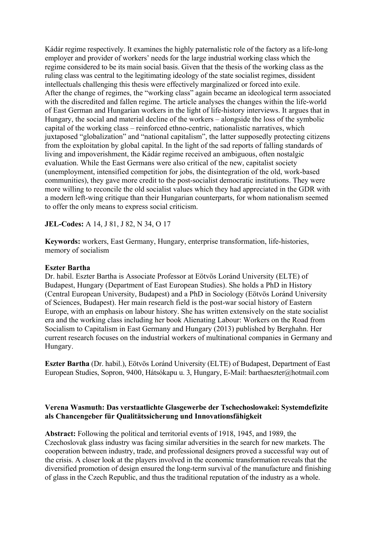Kádár regime respectively. It examines the highly paternalistic role of the factory as a life-long employer and provider of workers' needs for the large industrial working class which the regime considered to be its main social basis. Given that the thesis of the working class as the ruling class was central to the legitimating ideology of the state socialist regimes, dissident intellectuals challenging this thesis were effectively marginalized or forced into exile. After the change of regimes, the "working class" again became an ideological term associated with the discredited and fallen regime. The article analyses the changes within the life-world of East German and Hungarian workers in the light of life-history interviews. It argues that in Hungary, the social and material decline of the workers – alongside the loss of the symbolic capital of the working class – reinforced ethno-centric, nationalistic narratives, which juxtaposed "globalization" and "national capitalism", the latter supposedly protecting citizens from the exploitation by global capital. In the light of the sad reports of falling standards of living and impoverishment, the Kádár regime received an ambiguous, often nostalgic evaluation. While the East Germans were also critical of the new, capitalist society (unemployment, intensified competition for jobs, the disintegration of the old, work-based communities), they gave more credit to the post-socialist democratic institutions. They were more willing to reconcile the old socialist values which they had appreciated in the GDR with a modern left-wing critique than their Hungarian counterparts, for whom nationalism seemed to offer the only means to express social criticism.

**JEL-Codes:** A 14, J 81, J 82, N 34, O 17

**Keywords:** workers, East Germany, Hungary, enterprise transformation, life-histories, memory of socialism

#### **Eszter Bartha**

Dr. habil. Eszter Bartha is Associate Professor at Eötvös Loránd University (ELTE) of Budapest, Hungary (Department of East European Studies). She holds a PhD in History (Central European University, Budapest) and a PhD in Sociology (Eötvös Loránd University of Sciences, Budapest). Her main research field is the post-war social history of Eastern Europe, with an emphasis on labour history. She has written extensively on the state socialist era and the working class including her book Alienating Labour: Workers on the Road from Socialism to Capitalism in East Germany and Hungary (2013) published by Berghahn. Her current research focuses on the industrial workers of multinational companies in Germany and Hungary.

**Eszter Bartha** (Dr. habil.), Eötvös Loránd University (ELTE) of Budapest, Department of East European Studies, Sopron, 9400, Hátsókapu u. 3, Hungary, E-Mail: barthaeszter@hotmail.com

#### **Verena Wasmuth: Das verstaatlichte Glasgewerbe der Tschechoslowakei: Systemdefizite als Chancengeber für Qualitätssicherung und Innovationsfähigkeit**

**Abstract:** Following the political and territorial events of 1918, 1945, and 1989, the Czechoslovak glass industry was facing similar adversities in the search for new markets. The cooperation between industry, trade, and professional designers proved a successful way out of the crisis. A closer look at the players involved in the economic transformation reveals that the diversified promotion of design ensured the long-term survival of the manufacture and finishing of glass in the Czech Republic, and thus the traditional reputation of the industry as a whole.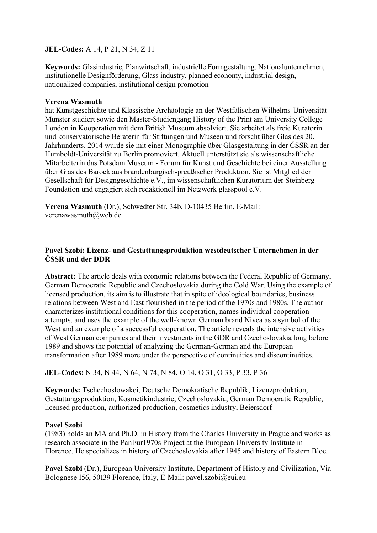#### **JEL-Codes:** A 14, P 21, N 34, Z 11

**Keywords:** Glasindustrie, Planwirtschaft, industrielle Formgestaltung, Nationalunternehmen, institutionelle Designförderung, Glass industry, planned economy, industrial design, nationalized companies, institutional design promotion

#### **Verena Wasmuth**

hat Kunstgeschichte und Klassische Archäologie an der Westfälischen Wilhelms-Universität Münster studiert sowie den Master-Studiengang History of the Print am University College London in Kooperation mit dem British Museum absolviert. Sie arbeitet als freie Kuratorin und konservatorische Beraterin für Stiftungen und Museen und forscht über Glas des 20. Jahrhunderts. 2014 wurde sie mit einer Monographie über Glasgestaltung in der ČSSR an der Humboldt-Universität zu Berlin promoviert. Aktuell unterstützt sie als wissenschaftliche Mitarbeiterin das Potsdam Museum - Forum für Kunst und Geschichte bei einer Ausstellung über Glas des Barock aus brandenburgisch-preußischer Produktion. Sie ist Mitglied der Gesellschaft für Designgeschichte e.V., im wissenschaftlichen Kuratorium der Steinberg Foundation und engagiert sich redaktionell im Netzwerk glasspool e.V.

**Verena Wasmuth** (Dr.), Schwedter Str. 34b, D-10435 Berlin, E-Mail: verenawasmuth@web.de

## **Pavel Szobi: Lizenz- und Gestattungsproduktion westdeutscher Unternehmen in der ČSSR und der DDR**

**Abstract:** The article deals with economic relations between the Federal Republic of Germany, German Democratic Republic and Czechoslovakia during the Cold War. Using the example of licensed production, its aim is to illustrate that in spite of ideological boundaries, business relations between West and East flourished in the period of the 1970s and 1980s. The author characterizes institutional conditions for this cooperation, names individual cooperation attempts, and uses the example of the well-known German brand Nivea as a symbol of the West and an example of a successful cooperation. The article reveals the intensive activities of West German companies and their investments in the GDR and Czechoslovakia long before 1989 and shows the potential of analyzing the German-German and the European transformation after 1989 more under the perspective of continuities and discontinuities.

**JEL-Codes:** N 34, N 44, N 64, N 74, N 84, O 14, O 31, O 33, P 33, P 36

**Keywords:** Tschechoslowakei, Deutsche Demokratische Republik, Lizenzproduktion, Gestattungsproduktion, Kosmetikindustrie, Czechoslovakia, German Democratic Republic, licensed production, authorized production, cosmetics industry, Beiersdorf

## **Pavel Szobi**

(1983) holds an MA and Ph.D. in History from the Charles University in Prague and works as research associate in the PanEur1970s Project at the European University Institute in Florence. He specializes in history of Czechoslovakia after 1945 and history of Eastern Bloc.

**Pavel Szobi** (Dr.), European University Institute, Department of History and Civilization, Via Bolognese 156, 50139 Florence, Italy, E-Mail: pavel.szobi@eui.eu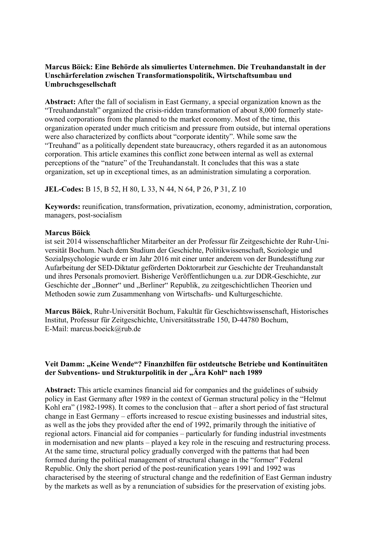## **Marcus Böick: Eine Behörde als simuliertes Unternehmen. Die Treuhandanstalt in der Unschärferelation zwischen Transformationspolitik, Wirtschaftsumbau und Umbruchsgesellschaft**

**Abstract:** After the fall of socialism in East Germany, a special organization known as the "Treuhandanstalt" organized the crisis-ridden transformation of about 8,000 formerly stateowned corporations from the planned to the market economy. Most of the time, this organization operated under much criticism and pressure from outside, but internal operations were also characterized by conflicts about "corporate identity". While some saw the "Treuhand" as a politically dependent state bureaucracy, others regarded it as an autonomous corporation. This article examines this conflict zone between internal as well as external perceptions of the "nature" of the Treuhandanstalt. It concludes that this was a state organization, set up in exceptional times, as an administration simulating a corporation.

**JEL-Codes:** B 15, B 52, H 80, L 33, N 44, N 64, P 26, P 31, Z 10

**Keywords:** reunification, transformation, privatization, economy, administration, corporation, managers, post-socialism

#### **Marcus Böick**

ist seit 2014 wissenschaftlicher Mitarbeiter an der Professur für Zeitgeschichte der Ruhr-Universität Bochum. Nach dem Studium der Geschichte, Politikwissenschaft, Soziologie und Sozialpsychologie wurde er im Jahr 2016 mit einer unter anderem von der Bundesstiftung zur Aufarbeitung der SED-Diktatur geförderten Doktorarbeit zur Geschichte der Treuhandanstalt und ihres Personals promoviert. Bisherige Veröffentlichungen u.a. zur DDR-Geschichte, zur Geschichte der "Bonner" und "Berliner" Republik, zu zeitgeschichtlichen Theorien und Methoden sowie zum Zusammenhang von Wirtschafts- und Kulturgeschichte.

**Marcus Böick**, Ruhr-Universität Bochum, Fakultät für Geschichtswissenschaft, Historisches Institut, Professur für Zeitgeschichte, Universitätsstraße 150, D-44780 Bochum, E-Mail: marcus.boeick@rub.de

#### **Veit Damm: "Keine Wende"? Finanzhilfen für ostdeutsche Betriebe und Kontinuitäten**  der Subventions- und Strukturpolitik in der "Ära Kohl" nach 1989

**Abstract:** This article examines financial aid for companies and the guidelines of subsidy policy in East Germany after 1989 in the context of German structural policy in the "Helmut Kohl era" (1982-1998). It comes to the conclusion that – after a short period of fast structural change in East Germany – efforts increased to rescue existing businesses and industrial sites, as well as the jobs they provided after the end of 1992, primarily through the initiative of regional actors. Financial aid for companies – particularly for funding industrial investments in modernisation and new plants – played a key role in the rescuing and restructuring process. At the same time, structural policy gradually converged with the patterns that had been formed during the political management of structural change in the "former" Federal Republic. Only the short period of the post-reunification years 1991 and 1992 was characterised by the steering of structural change and the redefinition of East German industry by the markets as well as by a renunciation of subsidies for the preservation of existing jobs.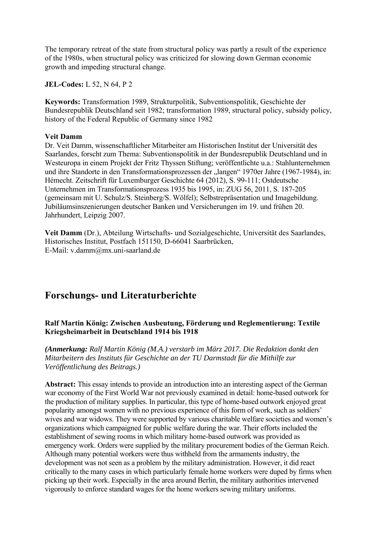The temporary retreat of the state from structural policy was partly a result of the experience of the 1980s, when structural policy was criticized for slowing down German economic growth and impeding structural change.

**JEL-Codes:** L 52, N 64, P 2

**Keywords:** Transformation 1989, Strukturpolitik, Subventionspolitik, Geschichte der Bundesrepublik Deutschland seit 1982; transformation 1989, structural policy, subsidy policy, history of the Federal Republic of Germany since 1982

#### **Veit Damm**

Dr. Veit Damm, wissenschaftlicher Mitarbeiter am Historischen Institut der Universität des Saarlandes, forscht zum Thema: Subventionspolitik in der Bundesrepublik Deutschland und in Westeuropa in einem Projekt der Fritz Thyssen Stiftung; veröffentlichte u.a.: Stahlunternehmen und ihre Standorte in den Transformationsprozessen der "langen" 1970er Jahre (1967-1984), in: Hémecht. Zeitschrift für Luxemburger Geschichte 64 (2012), S. 99-111; Ostdeutsche Unternehmen im Transformationsprozess 1935 bis 1995, in: ZUG 56, 2011, S. 187-205 (gemeinsam mit U. Schulz/S. Steinberg/S. Wölfel); Selbstrepräsentation und Imagebildung. Jubiläumsinszenierungen deutscher Banken und Versicherungen im 19. und frühen 20. Jahrhundert, Leipzig 2007.

**Veit Damm** (Dr.), Abteilung Wirtschafts- und Sozialgeschichte, Universität des Saarlandes, Historisches Institut, Postfach 151150, D-66041 Saarbrücken, E-Mail: v.damm@mx.uni-saarland.de

## **Forschungs- und Literaturberichte**

## **Ralf Martin König: Zwischen Ausbeutung, Förderung und Reglementierung: Textile Kriegsheimarbeit in Deutschland 1914 bis 1918**

*(Anmerkung: Ralf Martin König (M.A.) verstarb im März 2017. Die Redaktion dankt den Mitarbeitern des Instituts für Geschichte an der TU Darmstadt für die Mithilfe zur Veröffentlichung des Beitrags.)* 

**Abstract:** This essay intends to provide an introduction into an interesting aspect of the German war economy of the First World War not previously examined in detail: home-based outwork for the production of military supplies. In particular, this type of home-based outwork enjoyed great popularity amongst women with no previous experience of this form of work, such as soldiers' wives and war widows. They were supported by various charitable welfare societies and women's organizations which campaigned for public welfare during the war. Their efforts included the establishment of sewing rooms in which military home-based outwork was provided as emergency work. Orders were supplied by the military procurement bodies of the German Reich. Although many potential workers were thus withheld from the armaments industry, the development was not seen as a problem by the military administration. However, it did react critically to the many cases in which particularly female home workers were duped by firms when picking up their work. Especially in the area around Berlin, the military authorities intervened vigorously to enforce standard wages for the home workers sewing military uniforms.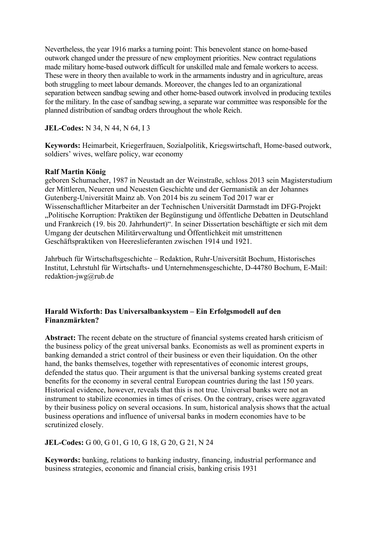Nevertheless, the year 1916 marks a turning point: This benevolent stance on home-based outwork changed under the pressure of new employment priorities. New contract regulations made military home-based outwork difficult for unskilled male and female workers to access. These were in theory then available to work in the armaments industry and in agriculture, areas both struggling to meet labour demands. Moreover, the changes led to an organizational separation between sandbag sewing and other home-based outwork involved in producing textiles for the military. In the case of sandbag sewing, a separate war committee was responsible for the planned distribution of sandbag orders throughout the whole Reich.

**JEL-Codes:** N 34, N 44, N 64, I 3

**Keywords:** Heimarbeit, Kriegerfrauen, Sozialpolitik, Kriegswirtschaft, Home-based outwork, soldiers' wives, welfare policy, war economy

#### **Ralf Martin König**

geboren Schumacher, 1987 in Neustadt an der Weinstraße, schloss 2013 sein Magisterstudium der Mittleren, Neueren und Neuesten Geschichte und der Germanistik an der Johannes Gutenberg-Universität Mainz ab. Von 2014 bis zu seinem Tod 2017 war er Wissenschaftlicher Mitarbeiter an der Technischen Universität Darmstadt im DFG-Projekt "Politische Korruption: Praktiken der Begünstigung und öffentliche Debatten in Deutschland und Frankreich (19. bis 20. Jahrhundert)". In seiner Dissertation beschäftigte er sich mit dem Umgang der deutschen Militärverwaltung und Öffentlichkeit mit umstrittenen Geschäftspraktiken von Heereslieferanten zwischen 1914 und 1921.

Jahrbuch für Wirtschaftsgeschichte – Redaktion, Ruhr-Universität Bochum, Historisches Institut, Lehrstuhl für Wirtschafts- und Unternehmensgeschichte, D-44780 Bochum, E-Mail: redaktion-jwg@rub.de

#### **Harald Wixforth: Das Universalbanksystem – Ein Erfolgsmodell auf den Finanzmärkten?**

**Abstract:** The recent debate on the structure of financial systems created harsh criticism of the business policy of the great universal banks. Economists as well as prominent experts in banking demanded a strict control of their business or even their liquidation. On the other hand, the banks themselves, together with representatives of economic interest groups, defended the status quo. Their argument is that the universal banking systems created great benefits for the economy in several central European countries during the last 150 years. Historical evidence, however, reveals that this is not true. Universal banks were not an instrument to stabilize economies in times of crises. On the contrary, crises were aggravated by their business policy on several occasions. In sum, historical analysis shows that the actual business operations and influence of universal banks in modern economies have to be scrutinized closely.

**JEL-Codes:** G 00, G 01, G 10, G 18, G 20, G 21, N 24

**Keywords:** banking, relations to banking industry, financing, industrial performance and business strategies, economic and financial crisis, banking crisis 1931